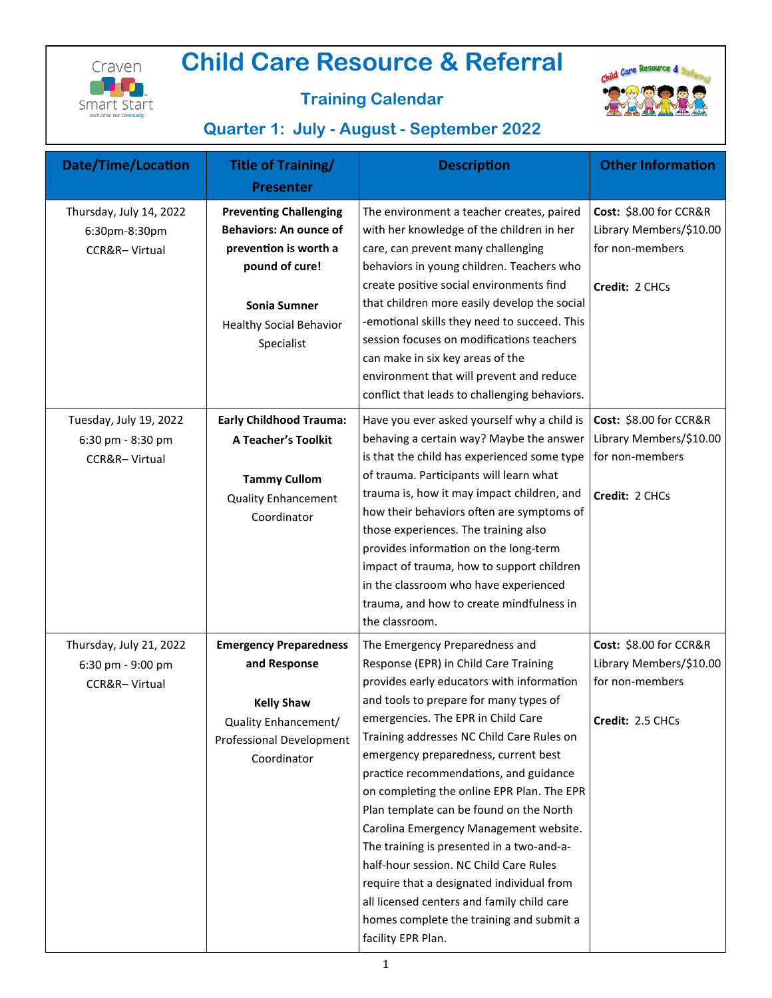

# **Child Care Resource & Referral**



## **Training Calendar**

# **Quarter 1: July - August - September 2022**

| <b>Date/Time/Location</b>                                     | <b>Title of Training/</b>                                                                                                                                                        | <b>Description</b>                                                                                                                                                                                                                                                                                                                                                                                                                                                                                                                                                                                                                                                                                                         | <b>Other Information</b>                                                                 |
|---------------------------------------------------------------|----------------------------------------------------------------------------------------------------------------------------------------------------------------------------------|----------------------------------------------------------------------------------------------------------------------------------------------------------------------------------------------------------------------------------------------------------------------------------------------------------------------------------------------------------------------------------------------------------------------------------------------------------------------------------------------------------------------------------------------------------------------------------------------------------------------------------------------------------------------------------------------------------------------------|------------------------------------------------------------------------------------------|
|                                                               | <b>Presenter</b>                                                                                                                                                                 |                                                                                                                                                                                                                                                                                                                                                                                                                                                                                                                                                                                                                                                                                                                            |                                                                                          |
| Thursday, July 14, 2022<br>6:30pm-8:30pm<br>CCR&R-Virtual     | <b>Preventing Challenging</b><br><b>Behaviors: An ounce of</b><br>prevention is worth a<br>pound of cure!<br><b>Sonia Sumner</b><br><b>Healthy Social Behavior</b><br>Specialist | The environment a teacher creates, paired<br>with her knowledge of the children in her<br>care, can prevent many challenging<br>behaviors in young children. Teachers who<br>create positive social environments find<br>that children more easily develop the social<br>-emotional skills they need to succeed. This<br>session focuses on modifications teachers<br>can make in six key areas of the<br>environment that will prevent and reduce<br>conflict that leads to challenging behaviors.                                                                                                                                                                                                                        | Cost: \$8.00 for CCR&R<br>Library Members/\$10.00<br>for non-members<br>Credit: 2 CHCs   |
| Tuesday, July 19, 2022<br>6:30 pm - 8:30 pm<br>CCR&R-Virtual  | <b>Early Childhood Trauma:</b><br><b>A Teacher's Toolkit</b><br><b>Tammy Cullom</b><br><b>Quality Enhancement</b><br>Coordinator                                                 | Have you ever asked yourself why a child is<br>behaving a certain way? Maybe the answer<br>is that the child has experienced some type<br>of trauma. Participants will learn what<br>trauma is, how it may impact children, and<br>how their behaviors often are symptoms of<br>those experiences. The training also<br>provides information on the long-term<br>impact of trauma, how to support children<br>in the classroom who have experienced<br>trauma, and how to create mindfulness in<br>the classroom.                                                                                                                                                                                                          | Cost: \$8.00 for CCR&R<br>Library Members/\$10.00<br>for non-members<br>Credit: 2 CHCs   |
| Thursday, July 21, 2022<br>6:30 pm - 9:00 pm<br>CCR&R-Virtual | <b>Emergency Preparedness</b><br>and Response<br><b>Kelly Shaw</b><br>Quality Enhancement/<br><b>Professional Development</b><br>Coordinator                                     | The Emergency Preparedness and<br>Response (EPR) in Child Care Training<br>provides early educators with information<br>and tools to prepare for many types of<br>emergencies. The EPR in Child Care<br>Training addresses NC Child Care Rules on<br>emergency preparedness, current best<br>practice recommendations, and guidance<br>on completing the online EPR Plan. The EPR<br>Plan template can be found on the North<br>Carolina Emergency Management website.<br>The training is presented in a two-and-a-<br>half-hour session. NC Child Care Rules<br>require that a designated individual from<br>all licensed centers and family child care<br>homes complete the training and submit a<br>facility EPR Plan. | Cost: \$8.00 for CCR&R<br>Library Members/\$10.00<br>for non-members<br>Credit: 2.5 CHCs |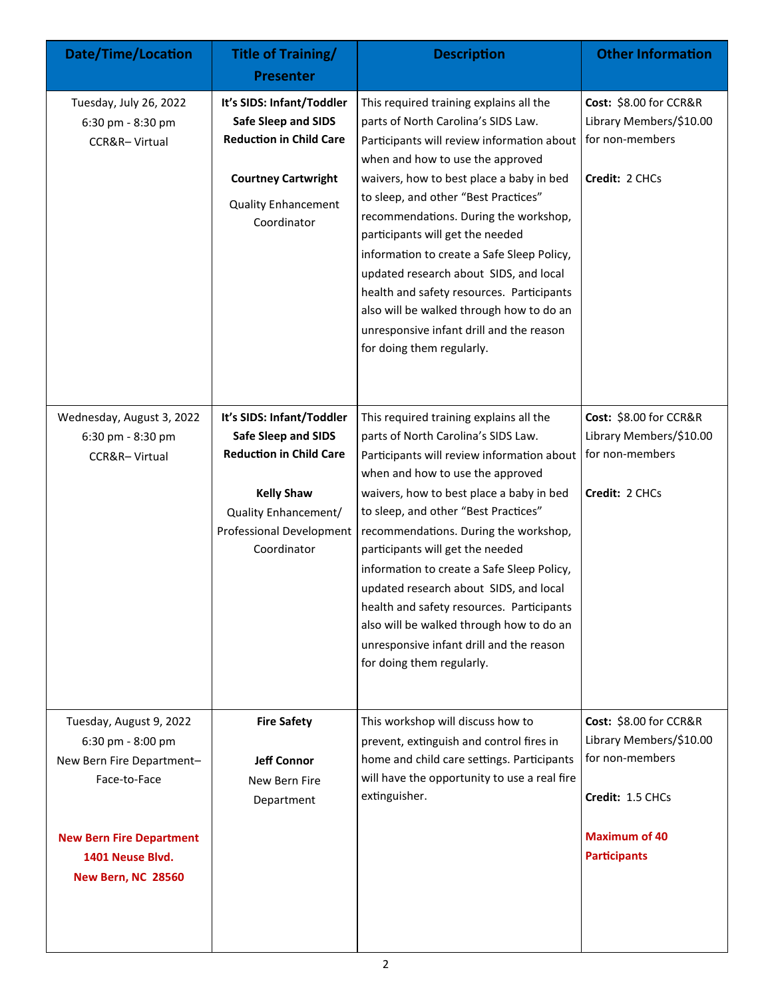| <b>Date/Time/Location</b>                                                                                                                                              | <b>Title of Training/</b><br><b>Presenter</b>                                                                                                                                     | <b>Description</b>                                                                                                                                                                                                                                                                                                                                                                                                                                                                                                                                                                          | <b>Other Information</b>                                                                                                                |
|------------------------------------------------------------------------------------------------------------------------------------------------------------------------|-----------------------------------------------------------------------------------------------------------------------------------------------------------------------------------|---------------------------------------------------------------------------------------------------------------------------------------------------------------------------------------------------------------------------------------------------------------------------------------------------------------------------------------------------------------------------------------------------------------------------------------------------------------------------------------------------------------------------------------------------------------------------------------------|-----------------------------------------------------------------------------------------------------------------------------------------|
| Tuesday, July 26, 2022<br>6:30 pm - 8:30 pm<br>CCR&R-Virtual                                                                                                           | It's SIDS: Infant/Toddler<br><b>Safe Sleep and SIDS</b><br><b>Reduction in Child Care</b><br><b>Courtney Cartwright</b><br><b>Quality Enhancement</b><br>Coordinator              | This required training explains all the<br>parts of North Carolina's SIDS Law.<br>Participants will review information about<br>when and how to use the approved<br>waivers, how to best place a baby in bed<br>to sleep, and other "Best Practices"<br>recommendations. During the workshop,<br>participants will get the needed<br>information to create a Safe Sleep Policy,<br>updated research about SIDS, and local<br>health and safety resources. Participants<br>also will be walked through how to do an<br>unresponsive infant drill and the reason<br>for doing them regularly. | Cost: \$8.00 for CCR&R<br>Library Members/\$10.00<br>for non-members<br>Credit: 2 CHCs                                                  |
| Wednesday, August 3, 2022<br>6:30 pm - 8:30 pm<br>CCR&R-Virtual                                                                                                        | It's SIDS: Infant/Toddler<br><b>Safe Sleep and SIDS</b><br><b>Reduction in Child Care</b><br><b>Kelly Shaw</b><br>Quality Enhancement/<br>Professional Development<br>Coordinator | This required training explains all the<br>parts of North Carolina's SIDS Law.<br>Participants will review information about<br>when and how to use the approved<br>waivers, how to best place a baby in bed<br>to sleep, and other "Best Practices"<br>recommendations. During the workshop,<br>participants will get the needed<br>information to create a Safe Sleep Policy,<br>updated research about SIDS, and local<br>health and safety resources. Participants<br>also will be walked through how to do an<br>unresponsive infant drill and the reason<br>for doing them regularly. | Cost: \$8.00 for CCR&R<br>Library Members/\$10.00<br>for non-members<br>Credit: 2 CHCs                                                  |
| Tuesday, August 9, 2022<br>6:30 pm - 8:00 pm<br>New Bern Fire Department-<br>Face-to-Face<br><b>New Bern Fire Department</b><br>1401 Neuse Blvd.<br>New Bern, NC 28560 | <b>Fire Safety</b><br><b>Jeff Connor</b><br>New Bern Fire<br>Department                                                                                                           | This workshop will discuss how to<br>prevent, extinguish and control fires in<br>home and child care settings. Participants<br>will have the opportunity to use a real fire<br>extinguisher.<br>$\overline{2}$                                                                                                                                                                                                                                                                                                                                                                              | Cost: \$8.00 for CCR&R<br>Library Members/\$10.00<br>for non-members<br>Credit: 1.5 CHCs<br><b>Maximum of 40</b><br><b>Participants</b> |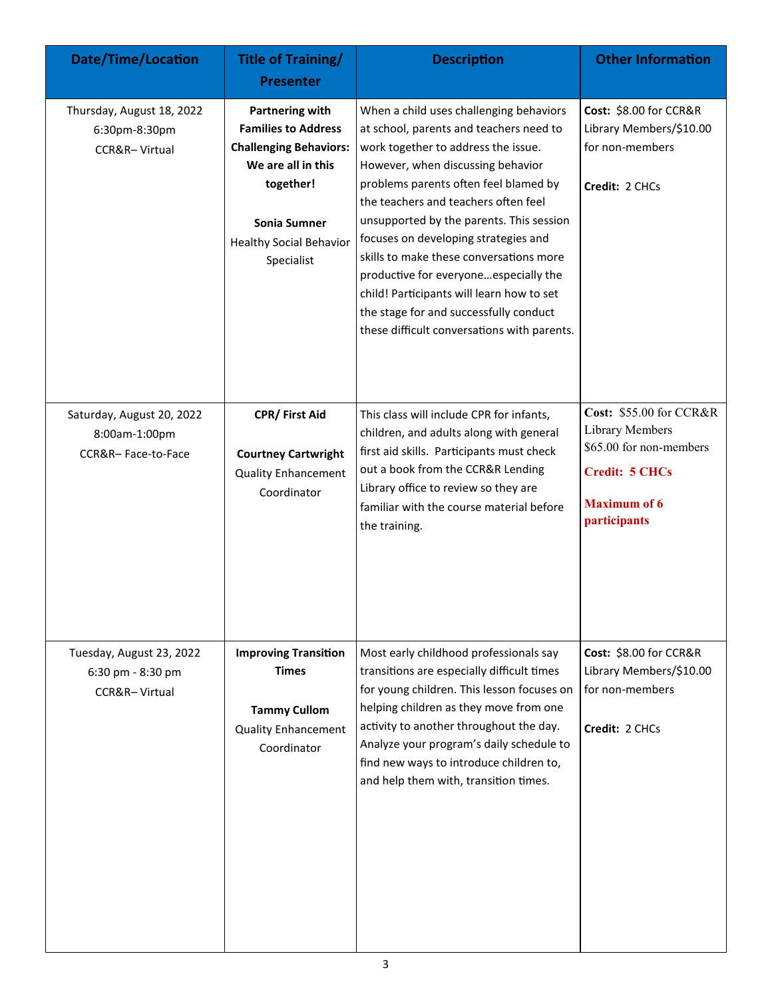| <b>Date/Time/Location</b>                                        | <b>Title of Training/</b><br><b>Presenter</b>                                                                                                                                            | <b>Description</b>                                                                                                                                                                                                                                                                                                                                                                                                                                                                                                                                            | <b>Other Information</b>                                                                                                              |
|------------------------------------------------------------------|------------------------------------------------------------------------------------------------------------------------------------------------------------------------------------------|---------------------------------------------------------------------------------------------------------------------------------------------------------------------------------------------------------------------------------------------------------------------------------------------------------------------------------------------------------------------------------------------------------------------------------------------------------------------------------------------------------------------------------------------------------------|---------------------------------------------------------------------------------------------------------------------------------------|
| Thursday, August 18, 2022<br>6:30pm-8:30pm<br>CCR&R-Virtual      | <b>Partnering with</b><br><b>Families to Address</b><br><b>Challenging Behaviors:</b><br>We are all in this<br>together!<br>Sonia Sumner<br><b>Healthy Social Behavior</b><br>Specialist | When a child uses challenging behaviors<br>at school, parents and teachers need to<br>work together to address the issue.<br>However, when discussing behavior<br>problems parents often feel blamed by<br>the teachers and teachers often feel<br>unsupported by the parents. This session<br>focuses on developing strategies and<br>skills to make these conversations more<br>productive for everyoneespecially the<br>child! Participants will learn how to set<br>the stage for and successfully conduct<br>these difficult conversations with parents. | Cost: \$8.00 for CCR&R<br>Library Members/\$10.00<br>for non-members<br>Credit: 2 CHCs                                                |
| Saturday, August 20, 2022<br>8:00am-1:00pm<br>CCR&R-Face-to-Face | CPR/ First Aid<br><b>Courtney Cartwright</b><br><b>Quality Enhancement</b><br>Coordinator                                                                                                | This class will include CPR for infants,<br>children, and adults along with general<br>first aid skills. Participants must check<br>out a book from the CCR&R Lending<br>Library office to review so they are<br>familiar with the course material before<br>the training.                                                                                                                                                                                                                                                                                    | Cost: \$55.00 for CCR&R<br>Library Members<br>\$65.00 for non-members<br><b>Credit: 5 CHCs</b><br><b>Maximum of 6</b><br>participants |
| Tuesday, August 23, 2022<br>6:30 pm - 8:30 pm<br>CCR&R-Virtual   | <b>Improving Transition</b><br><b>Times</b><br><b>Tammy Cullom</b><br><b>Quality Enhancement</b><br>Coordinator                                                                          | Most early childhood professionals say<br>transitions are especially difficult times<br>for young children. This lesson focuses on<br>helping children as they move from one<br>activity to another throughout the day.<br>Analyze your program's daily schedule to<br>find new ways to introduce children to,<br>and help them with, transition times.<br>3                                                                                                                                                                                                  | Cost: \$8.00 for CCR&R<br>Library Members/\$10.00<br>for non-members<br>Credit: 2 CHCs                                                |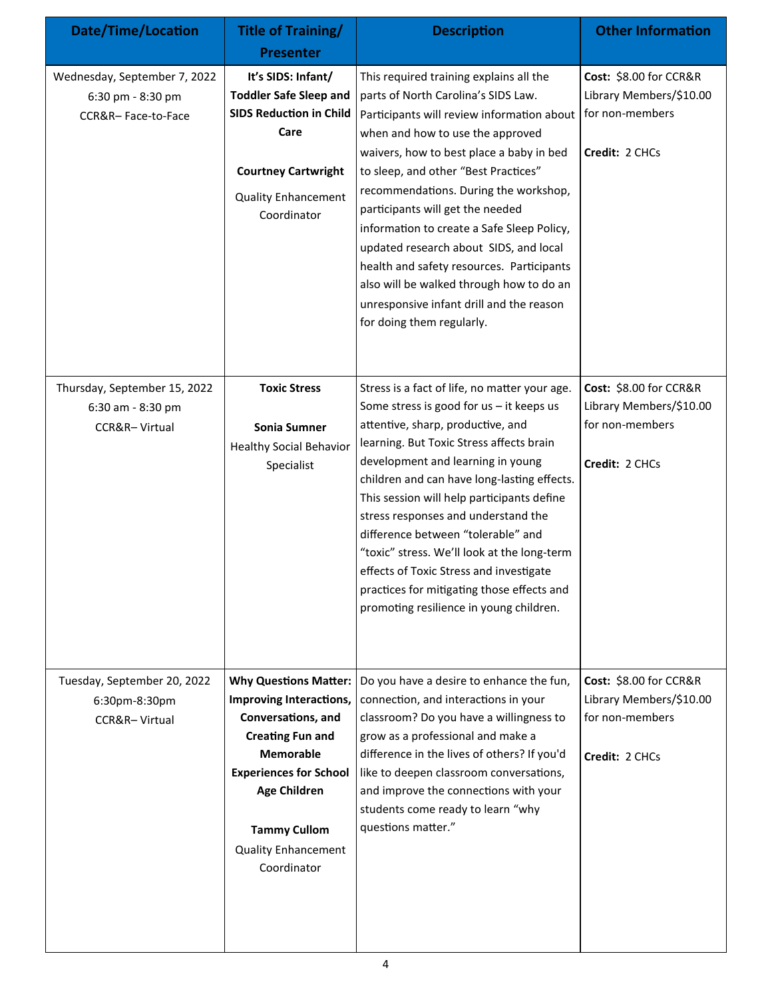| <b>Date/Time/Location</b>                                               | Title of Training/<br><b>Presenter</b>                                                                                                                                                                                                                   | <b>Description</b>                                                                                                                                                                                                                                                                                                                                                                                                                                                                                                                                                                          | <b>Other Information</b>                                                               |
|-------------------------------------------------------------------------|----------------------------------------------------------------------------------------------------------------------------------------------------------------------------------------------------------------------------------------------------------|---------------------------------------------------------------------------------------------------------------------------------------------------------------------------------------------------------------------------------------------------------------------------------------------------------------------------------------------------------------------------------------------------------------------------------------------------------------------------------------------------------------------------------------------------------------------------------------------|----------------------------------------------------------------------------------------|
| Wednesday, September 7, 2022<br>6:30 pm - 8:30 pm<br>CCR&R-Face-to-Face | It's SIDS: Infant/<br><b>Toddler Safe Sleep and</b><br><b>SIDS Reduction in Child</b><br>Care<br><b>Courtney Cartwright</b><br><b>Quality Enhancement</b><br>Coordinator                                                                                 | This required training explains all the<br>parts of North Carolina's SIDS Law.<br>Participants will review information about<br>when and how to use the approved<br>waivers, how to best place a baby in bed<br>to sleep, and other "Best Practices"<br>recommendations. During the workshop,<br>participants will get the needed<br>information to create a Safe Sleep Policy,<br>updated research about SIDS, and local<br>health and safety resources. Participants<br>also will be walked through how to do an<br>unresponsive infant drill and the reason<br>for doing them regularly. | Cost: \$8.00 for CCR&R<br>Library Members/\$10.00<br>for non-members<br>Credit: 2 CHCs |
| Thursday, September 15, 2022<br>6:30 am - 8:30 pm<br>CCR&R-Virtual      | <b>Toxic Stress</b><br>Sonia Sumner<br><b>Healthy Social Behavior</b><br>Specialist                                                                                                                                                                      | Stress is a fact of life, no matter your age.<br>Some stress is good for $us - it$ keeps us<br>attentive, sharp, productive, and<br>learning. But Toxic Stress affects brain<br>development and learning in young<br>children and can have long-lasting effects.<br>This session will help participants define<br>stress responses and understand the<br>difference between "tolerable" and<br>"toxic" stress. We'll look at the long-term<br>effects of Toxic Stress and investigate<br>practices for mitigating those effects and<br>promoting resilience in young children.              | Cost: \$8.00 for CCR&R<br>Library Members/\$10.00<br>for non-members<br>Credit: 2 CHCs |
| Tuesday, September 20, 2022<br>6:30pm-8:30pm<br>CCR&R-Virtual           | <b>Why Questions Matter:</b><br>Improving Interactions,<br>Conversations, and<br><b>Creating Fun and</b><br><b>Memorable</b><br><b>Experiences for School</b><br><b>Age Children</b><br><b>Tammy Cullom</b><br><b>Quality Enhancement</b><br>Coordinator | Do you have a desire to enhance the fun,<br>connection, and interactions in your<br>classroom? Do you have a willingness to<br>grow as a professional and make a<br>difference in the lives of others? If you'd<br>like to deepen classroom conversations,<br>and improve the connections with your<br>students come ready to learn "why<br>questions matter."                                                                                                                                                                                                                              | Cost: \$8.00 for CCR&R<br>Library Members/\$10.00<br>for non-members<br>Credit: 2 CHCs |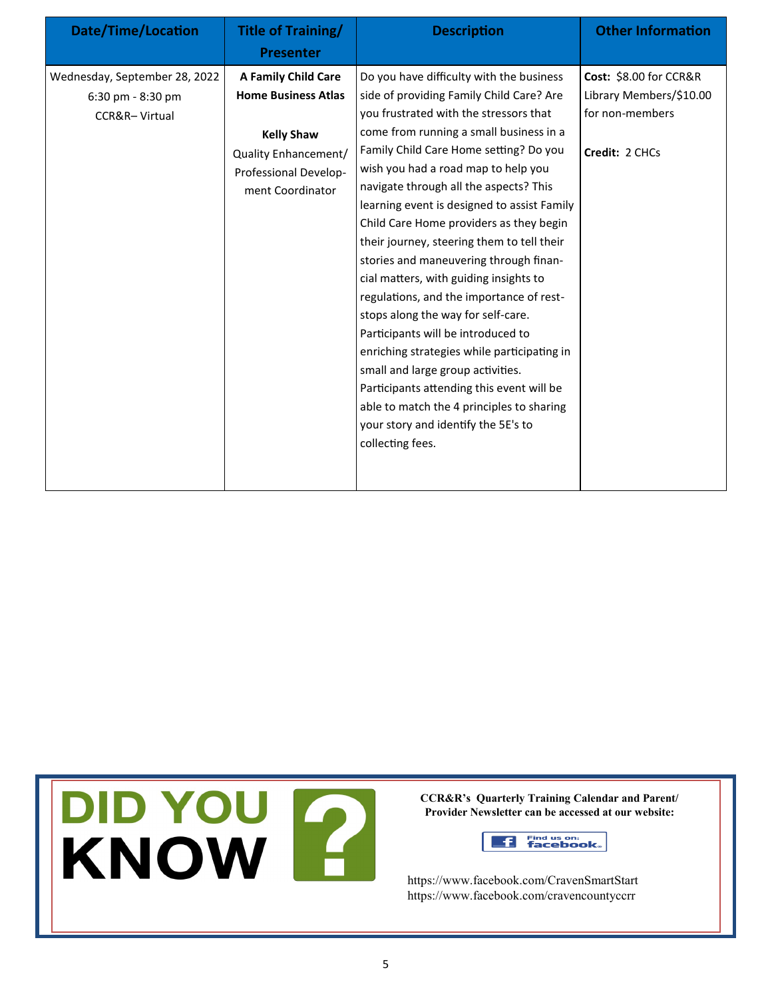| <b>Date/Time/Location</b>                                           | Title of Training/<br><b>Presenter</b>                                                                                                      | <b>Description</b>                                                                                                                                                                                                                                                                                                                                                                                                                                                                                                                                                                                                                                                                                                                                                                                                                                                                                | <b>Other Information</b>                                                               |
|---------------------------------------------------------------------|---------------------------------------------------------------------------------------------------------------------------------------------|---------------------------------------------------------------------------------------------------------------------------------------------------------------------------------------------------------------------------------------------------------------------------------------------------------------------------------------------------------------------------------------------------------------------------------------------------------------------------------------------------------------------------------------------------------------------------------------------------------------------------------------------------------------------------------------------------------------------------------------------------------------------------------------------------------------------------------------------------------------------------------------------------|----------------------------------------------------------------------------------------|
| Wednesday, September 28, 2022<br>6:30 pm - 8:30 pm<br>CCR&R-Virtual | A Family Child Care<br><b>Home Business Atlas</b><br><b>Kelly Shaw</b><br>Quality Enhancement/<br>Professional Develop-<br>ment Coordinator | Do you have difficulty with the business<br>side of providing Family Child Care? Are<br>you frustrated with the stressors that<br>come from running a small business in a<br>Family Child Care Home setting? Do you<br>wish you had a road map to help you<br>navigate through all the aspects? This<br>learning event is designed to assist Family<br>Child Care Home providers as they begin<br>their journey, steering them to tell their<br>stories and maneuvering through finan-<br>cial matters, with guiding insights to<br>regulations, and the importance of rest-<br>stops along the way for self-care.<br>Participants will be introduced to<br>enriching strategies while participating in<br>small and large group activities.<br>Participants attending this event will be<br>able to match the 4 principles to sharing<br>your story and identify the 5E's to<br>collecting fees. | Cost: \$8.00 for CCR&R<br>Library Members/\$10.00<br>for non-members<br>Credit: 2 CHCs |
|                                                                     |                                                                                                                                             |                                                                                                                                                                                                                                                                                                                                                                                                                                                                                                                                                                                                                                                                                                                                                                                                                                                                                                   |                                                                                        |

DID YOU F

**CCR&R's Quarterly Training Calendar and Parent/ Provider Newsletter can be accessed at our website:** 

> Find us on:<br>**facebook**.  $f$

https://www.facebook.com/CravenSmartStart https://www.facebook.com/cravencountyccrr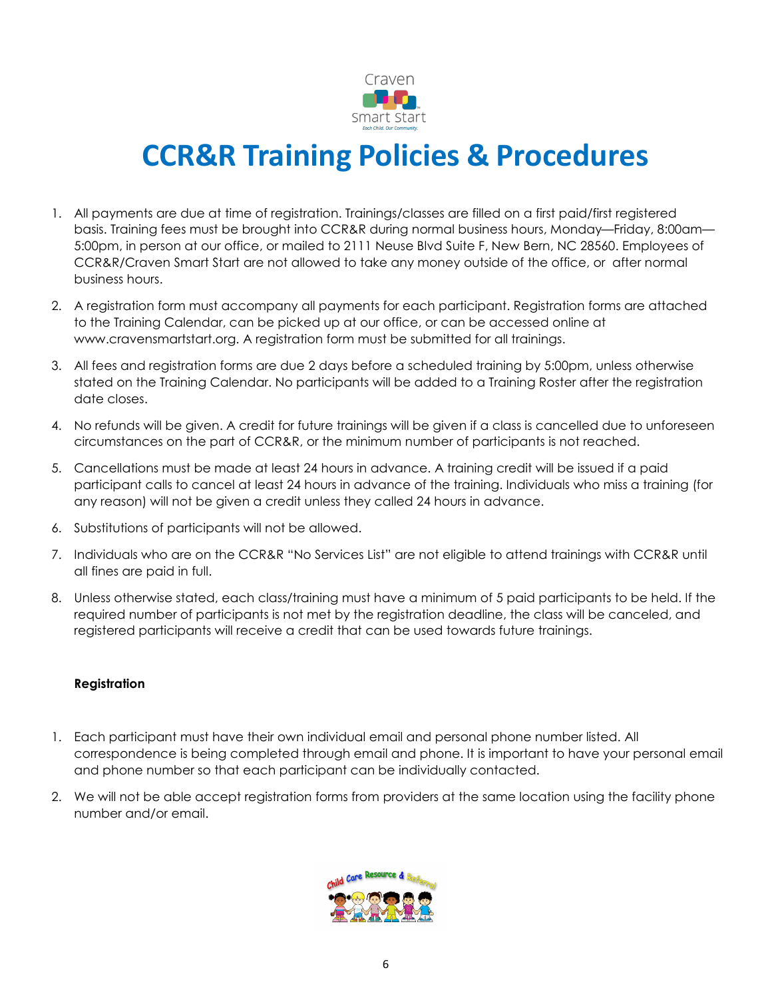

# **CCR&R Training Policies & Procedures**

- 1. All payments are due at time of registration. Trainings/classes are filled on a first paid/first registered basis. Training fees must be brought into CCR&R during normal business hours, Monday—Friday, 8:00am— 5:00pm, in person at our office, or mailed to 2111 Neuse Blvd Suite F, New Bern, NC 28560. Employees of CCR&R/Craven Smart Start are not allowed to take any money outside of the office, or after normal business hours.
- 2. A registration form must accompany all payments for each participant. Registration forms are attached to the Training Calendar, can be picked up at our office, or can be accessed online at www.cravensmartstart.org. A registration form must be submitted for all trainings.
- 3. All fees and registration forms are due 2 days before a scheduled training by 5:00pm, unless otherwise stated on the Training Calendar. No participants will be added to a Training Roster after the registration date closes.
- 4. No refunds will be given. A credit for future trainings will be given if a class is cancelled due to unforeseen circumstances on the part of CCR&R, or the minimum number of participants is not reached.
- 5. Cancellations must be made at least 24 hours in advance. A training credit will be issued if a paid participant calls to cancel at least 24 hours in advance of the training. Individuals who miss a training (for any reason) will not be given a credit unless they called 24 hours in advance.
- 6. Substitutions of participants will not be allowed.
- 7. Individuals who are on the CCR&R "No Services List" are not eligible to attend trainings with CCR&R until all fines are paid in full.
- 8. Unless otherwise stated, each class/training must have a minimum of 5 paid participants to be held. If the required number of participants is not met by the registration deadline, the class will be canceled, and registered participants will receive a credit that can be used towards future trainings.

#### **Registration**

- 1. Each participant must have their own individual email and personal phone number listed. All correspondence is being completed through email and phone. It is important to have your personal email and phone number so that each participant can be individually contacted.
- 2. We will not be able accept registration forms from providers at the same location using the facility phone number and/or email.

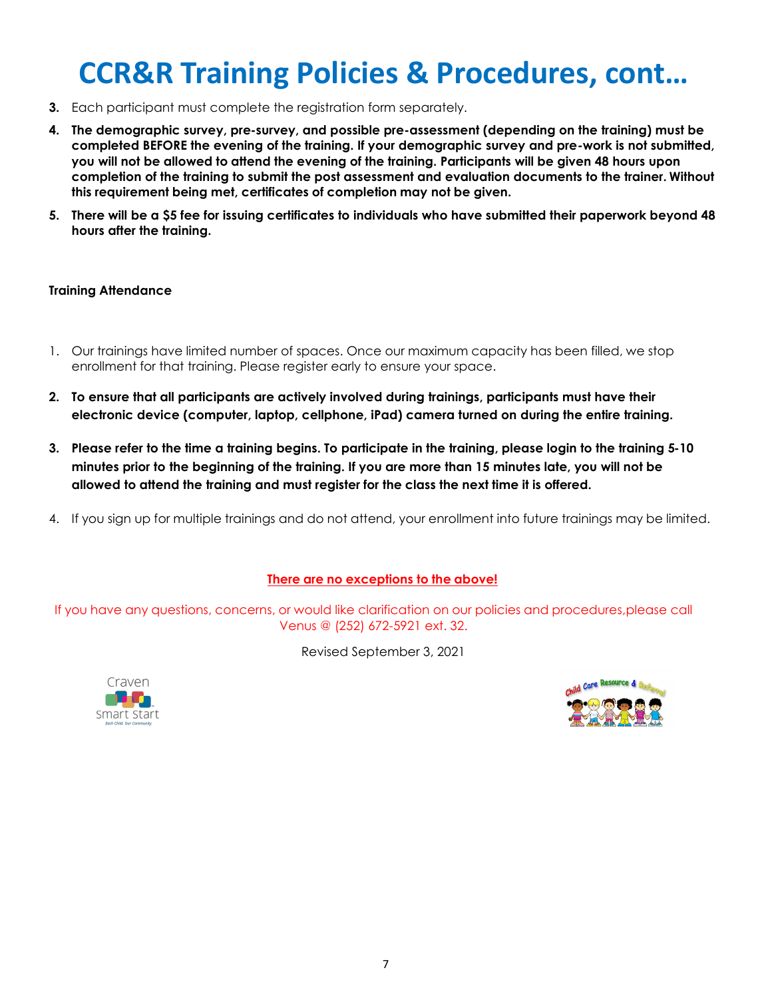# **CCR&R Training Policies & Procedures, cont…**

- **3.** Each participant must complete the registration form separately.
- **4. The demographic survey, pre-survey, and possible pre-assessment (depending on the training) must be completed BEFORE the evening of the training. If your demographic survey and pre-work is not submitted, you will not be allowed to attend the evening of the training. Participants will be given 48 hours upon completion of the training to submit the post assessment and evaluation documents to the trainer. Without this requirement being met, certificates of completion may not be given.**
- **5. There will be a \$5 fee for issuing certificates to individuals who have submitted their paperwork beyond 48 hours after the training.**

#### **Training Attendance**

- 1. Our trainings have limited number of spaces. Once our maximum capacity has been filled, we stop enrollment for that training. Please register early to ensure your space.
- **2. To ensure that all participants are actively involved during trainings, participants must have their electronic device (computer, laptop, cellphone, iPad) camera turned on during the entire training.**
- **3. Please refer to the time a training begins. To participate in the training, please login to the training 5-10 minutes prior to the beginning of the training. If you are more than 15 minutes late, you will not be allowed to attend the training and must register for the class the next time it is offered.**
- 4. If you sign up for multiple trainings and do not attend, your enrollment into future trainings may be limited.

#### **There are no exceptions to the above!**

If you have any questions, concerns, or would like clarification on our policies and procedures,please call Venus @ (252) 672-5921 ext. 32.

Revised September 3, 2021



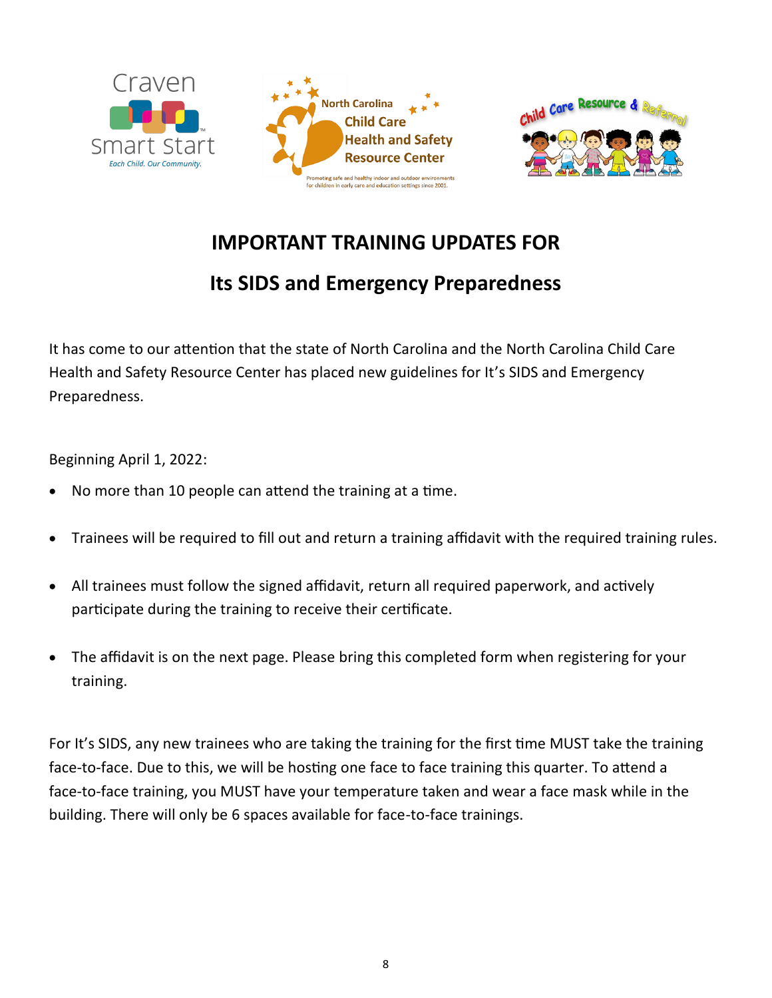



# **IMPORTANT TRAINING UPDATES FOR**

# **Its SIDS and Emergency Preparedness**

It has come to our attention that the state of North Carolina and the North Carolina Child Care Health and Safety Resource Center has placed new guidelines for It's SIDS and Emergency Preparedness.

Beginning April 1, 2022:

- No more than 10 people can attend the training at a time.
- Trainees will be required to fill out and return a training affidavit with the required training rules.
- All trainees must follow the signed affidavit, return all required paperwork, and actively participate during the training to receive their certificate.
- The affidavit is on the next page. Please bring this completed form when registering for your training.

For It's SIDS, any new trainees who are taking the training for the first time MUST take the training face-to-face. Due to this, we will be hosting one face to face training this quarter. To attend a face-to-face training, you MUST have your temperature taken and wear a face mask while in the building. There will only be 6 spaces available for face-to-face trainings.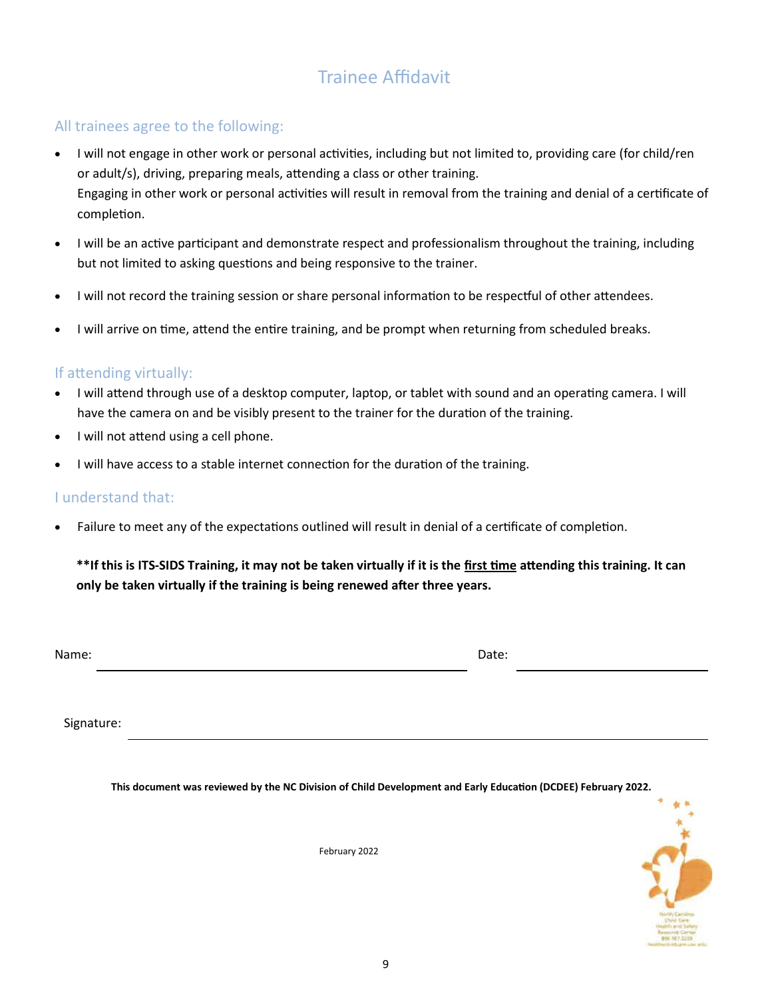# Trainee Affidavit

## All trainees agree to the following:

- I will not engage in other work or personal activities, including but not limited to, providing care (for child/ren or adult/s), driving, preparing meals, attending a class or other training. Engaging in other work or personal activities will result in removal from the training and denial of a certificate of completion.
- I will be an active participant and demonstrate respect and professionalism throughout the training, including but not limited to asking questions and being responsive to the trainer.
- I will not record the training session or share personal information to be respectful of other attendees.
- I will arrive on time, attend the entire training, and be prompt when returning from scheduled breaks.

### If attending virtually:

- I will attend through use of a desktop computer, laptop, or tablet with sound and an operating camera. I will have the camera on and be visibly present to the trainer for the duration of the training.
- I will not attend using a cell phone.
- I will have access to a stable internet connection for the duration of the training.

### I understand that:

• Failure to meet any of the expectations outlined will result in denial of a certificate of completion.

## **\*\*If this is ITS-SIDS Training, it may not be taken virtually if it is the first time attending this training. It can only be taken virtually if the training is being renewed after three years.**

Name: Date:

Signature:

**This document was reviewed by the NC Division of Child Development and Early Education (DCDEE) February 2022.**

February 2022